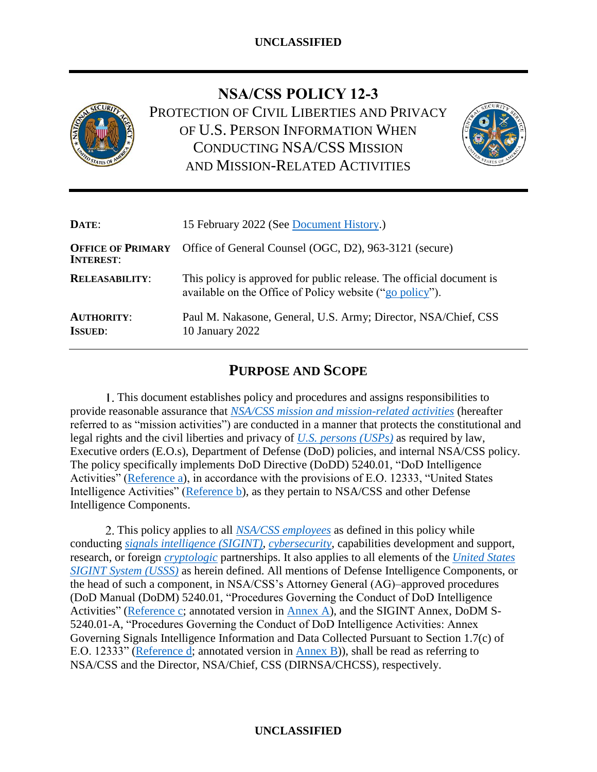

**NSA/CSS POLICY 12-3**

PROTECTION OF CIVIL LIBERTIES AND PRIVACY OF U.S. PERSON INFORMATION WHEN CONDUCTING NSA/CSS MISSION AND MISSION-RELATED ACTIVITIES



| DATE:                                        | 15 February 2022 (See Document History.)                                                                                         |  |
|----------------------------------------------|----------------------------------------------------------------------------------------------------------------------------------|--|
| <b>OFFICE OF PRIMARY</b><br><b>INTEREST:</b> | Office of General Counsel (OGC, D2), 963-3121 (secure)                                                                           |  |
| <b>RELEASABILITY:</b>                        | This policy is approved for public release. The official document is<br>available on the Office of Policy website ("go policy"). |  |
| <b>AUTHORITY:</b><br><b>ISSUED:</b>          | Paul M. Nakasone, General, U.S. Army; Director, NSA/Chief, CSS<br>10 January 2022                                                |  |

# **PURPOSE AND SCOPE**

This document establishes policy and procedures and assigns responsibilities to provide reasonable assurance that *[NSA/CSS mission and mission-related activities](#page-11-0)* (hereafter referred to as "mission activities") are conducted in a manner that protects the constitutional and legal rights and the civil liberties and privacy of *[U.S. persons \(USPs\)](#page-12-1)* as required by law, Executive orders (E.O.s), Department of Defense (DoD) policies, and internal NSA/CSS policy. The policy specifically implements DoD Directive (DoDD) 5240.01, "DoD Intelligence Activities" [\(Reference a\)](#page-7-0), in accordance with the provisions of E.O. 12333, "United States Intelligence Activities" [\(Reference b\)](#page-7-1), as they pertain to NSA/CSS and other Defense Intelligence Components.

2. This policy applies to all **NSA/CSS** employees as defined in this policy while conducting *[signals intelligence](#page-11-1) (SIGINT)*, *[cybersecurity](#page-10-1)*, capabilities development and support, research, or foreign *[cryptologic](#page-10-2)* partnerships. It also applies to all elements of the *[United States](#page-12-2)  [SIGINT System \(USSS\)](#page-12-2)* as herein defined. All mentions of Defense Intelligence Components, or the head of such a component, in NSA/CSS's Attorney General (AG)–approved procedures (DoD Manual (DoDM) 5240.01, "Procedures Governing the Conduct of DoD Intelligence Activities" [\(Reference c;](#page-8-0) annotated version in [Annex A\)](https://policy.sp.web.nsa.ic.gov/PolicyDepot/NSACSS%20P%2012-3%20Annex%20A%2020220110.pdf), and the SIGINT Annex, DoDM S-5240.01-A, "Procedures Governing the Conduct of DoD Intelligence Activities: Annex Governing Signals Intelligence Information and Data Collected Pursuant to Section 1.7(c) of E.O. 12333" [\(Reference d;](#page-8-1) annotated version in [Annex B\)](https://policy.sp.web.nsa.ic.gov/PolicyDepot/NSACSS%20P%2012-3%20Annex%20B%2020220110.pdf)), shall be read as referring to NSA/CSS and the Director, NSA/Chief, CSS (DIRNSA/CHCSS), respectively.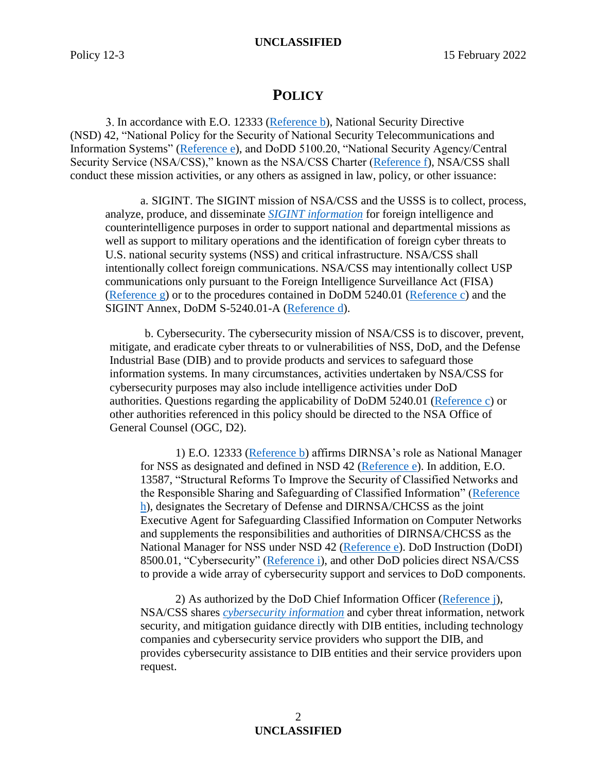## **POLICY**

3. In accordance with E.O. 12333 [\(Reference b\)](#page-7-1), National Security Directive (NSD) 42, "National Policy for the Security of National Security Telecommunications and Information Systems" [\(Reference e\)](#page-8-2), and DoDD 5100.20, "National Security Agency/Central Security Service (NSA/CSS)," known as the NSA/CSS Charter [\(Reference f\)](#page-8-3), NSA/CSS shall conduct these mission activities, or any others as assigned in law, policy, or other issuance:

a. SIGINT. The SIGINT mission of NSA/CSS and the USSS is to collect, process, analyze, produce, and disseminate *[SIGINT information](#page-11-2)* for foreign intelligence and counterintelligence purposes in order to support national and departmental missions as well as support to military operations and the identification of foreign cyber threats to U.S. national security systems (NSS) and critical infrastructure. NSA/CSS shall intentionally collect foreign communications. NSA/CSS may intentionally collect USP communications only pursuant to the Foreign Intelligence Surveillance Act (FISA) [\(Reference g\)](#page-8-4) or to the procedures contained in DoDM 5240.01 [\(Reference c\)](#page-8-0) and the SIGINT Annex, DoDM S-5240.01-A [\(Reference d\)](#page-8-1).

b. Cybersecurity. The cybersecurity mission of NSA/CSS is to discover, prevent, mitigate, and eradicate cyber threats to or vulnerabilities of NSS, DoD, and the Defense Industrial Base (DIB) and to provide products and services to safeguard those information systems. In many circumstances, activities undertaken by NSA/CSS for cybersecurity purposes may also include intelligence activities under DoD authorities. Questions regarding the applicability of DoDM 5240.01 [\(Reference c\)](#page-8-0) or other authorities referenced in this policy should be directed to the NSA Office of General Counsel (OGC, D2).

1) E.O. 12333 [\(Reference b\)](#page-7-1) affirms DIRNSA's role as National Manager for NSS as designated and defined in NSD 42 [\(Reference e\)](#page-8-2). In addition, E.O. 13587, "Structural Reforms To Improve the Security of Classified Networks and the Responsible Sharing and Safeguarding of Classified Information" [\(Reference](#page-8-5)  [h\)](#page-8-5), designates the Secretary of Defense and DIRNSA/CHCSS as the joint Executive Agent for Safeguarding Classified Information on Computer Networks and supplements the responsibilities and authorities of DIRNSA/CHCSS as the National Manager for NSS under NSD 42 [\(Reference e\)](#page-8-2). DoD Instruction (DoDI) 8500.01, "Cybersecurity" [\(Reference i\)](#page-8-6), and other DoD policies direct NSA/CSS to provide a wide array of cybersecurity support and services to DoD components.

2) As authorized by the DoD Chief Information Officer [\(Reference j\)](#page-8-7), NSA/CSS shares *[cybersecurity information](#page-10-3)* and cyber threat information, network security, and mitigation guidance directly with DIB entities, including technology companies and cybersecurity service providers who support the DIB, and provides cybersecurity assistance to DIB entities and their service providers upon request.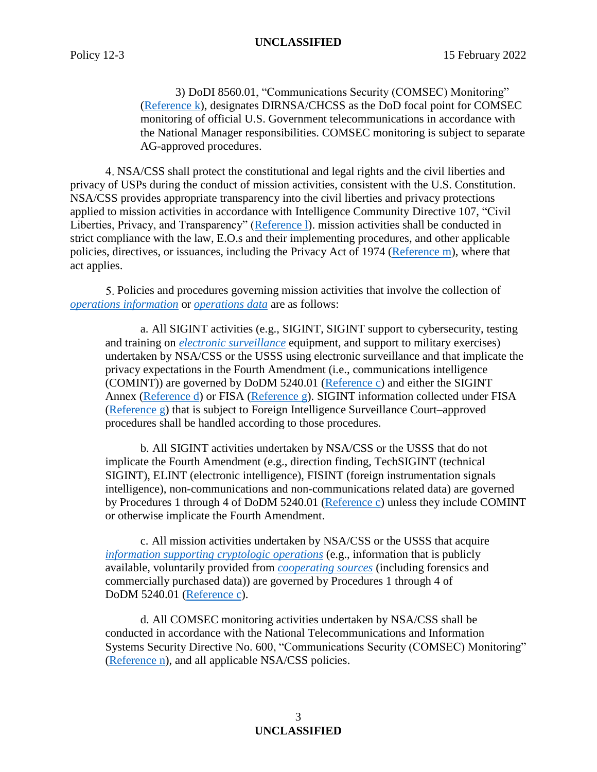3) DoDI 8560.01, "Communications Security (COMSEC) Monitoring" [\(Reference k\)](#page-8-8), designates DIRNSA/CHCSS as the DoD focal point for COMSEC monitoring of official U.S. Government telecommunications in accordance with the National Manager responsibilities. COMSEC monitoring is subject to separate AG-approved procedures.

NSA/CSS shall protect the constitutional and legal rights and the civil liberties and privacy of USPs during the conduct of mission activities, consistent with the U.S. Constitution. NSA/CSS provides appropriate transparency into the civil liberties and privacy protections applied to mission activities in accordance with Intelligence Community Directive 107, "Civil Liberties, Privacy, and Transparency" [\(Reference l\)](#page-8-9). mission activities shall be conducted in strict compliance with the law, E.O.s and their implementing procedures, and other applicable policies, directives, or issuances, including the Privacy Act of 1974 [\(Reference m\)](#page-8-10), where that act applies.

<span id="page-2-0"></span>Policies and procedures governing mission activities that involve the collection of *[operations information](#page-11-3)* or *[operations data](#page-11-4)* are as follows:

a. All SIGINT activities (e.g., SIGINT, SIGINT support to cybersecurity, testing and training on *[electronic surveillance](#page-10-4)* equipment, and support to military exercises) undertaken by NSA/CSS or the USSS using electronic surveillance and that implicate the privacy expectations in the Fourth Amendment (i.e., communications intelligence (COMINT)) are governed by DoDM 5240.01 [\(Reference c\)](#page-8-0) and either the SIGINT Annex [\(Reference d\)](#page-8-1) or FISA [\(Reference g\)](#page-8-4). SIGINT information collected under FISA [\(Reference g\)](#page-8-4) that is subject to Foreign Intelligence Surveillance Court–approved procedures shall be handled according to those procedures.

b. All SIGINT activities undertaken by NSA/CSS or the USSS that do not implicate the Fourth Amendment (e.g., direction finding, TechSIGINT (technical SIGINT), ELINT (electronic intelligence), FISINT (foreign instrumentation signals intelligence), non-communications and non-communications related data) are governed by Procedures 1 through 4 of DoDM 5240.01 [\(Reference c\)](#page-8-0) unless they include COMINT or otherwise implicate the Fourth Amendment.

c. All mission activities undertaken by NSA/CSS or the USSS that acquire *[information supporting cryptologic operations](#page-10-5)* (e.g., information that is publicly available, voluntarily provided from *[cooperating sources](#page-9-0)* (including forensics and commercially purchased data)) are governed by Procedures 1 through 4 of DoDM 5240.01 [\(Reference c\)](#page-8-0).

d. All COMSEC monitoring activities undertaken by NSA/CSS shall be conducted in accordance with the National Telecommunications and Information Systems Security Directive No. 600, "Communications Security (COMSEC) Monitoring" [\(Reference n\)](#page-8-11), and all applicable NSA/CSS policies.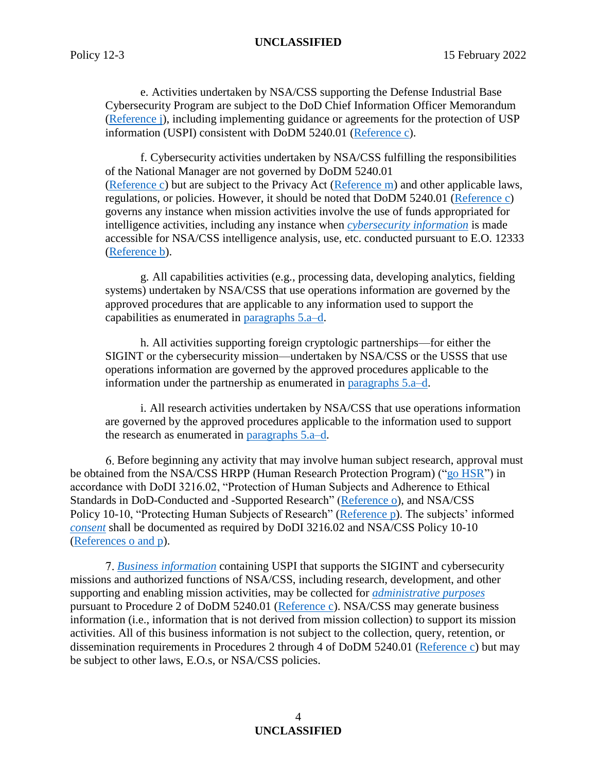e. Activities undertaken by NSA/CSS supporting the Defense Industrial Base Cybersecurity Program are subject to the DoD Chief Information Officer Memorandum [\(Reference j\)](#page-8-7), including implementing guidance or agreements for the protection of USP information (USPI) consistent with DoDM 5240.01 [\(Reference c\)](#page-8-0).

f. Cybersecurity activities undertaken by NSA/CSS fulfilling the responsibilities of the National Manager are not governed by DoDM 5240.01 [\(Reference c\)](#page-8-0) but are subject to the Privacy Act [\(Reference m\)](#page-8-10) and other applicable laws, regulations, or policies. However, it should be noted that DoDM 5240.01 [\(Reference c\)](#page-8-0) governs any instance when mission activities involve the use of funds appropriated for intelligence activities, including any instance when *[cybersecurity information](#page-10-3)* is made accessible for NSA/CSS intelligence analysis, use, etc. conducted pursuant to E.O. 12333 [\(Reference b\)](#page-7-1).

g. All capabilities activities (e.g., processing data, developing analytics, fielding systems) undertaken by NSA/CSS that use operations information are governed by the approved procedures that are applicable to any information used to support the capabilities as enumerated in [paragraphs 5.a–d.](#page-2-0)

h. All activities supporting foreign cryptologic partnerships—for either the SIGINT or the cybersecurity mission—undertaken by NSA/CSS or the USSS that use operations information are governed by the approved procedures applicable to the information under the partnership as enumerated in [paragraphs 5.a–d.](#page-2-0)

i. All research activities undertaken by NSA/CSS that use operations information are governed by the approved procedures applicable to the information used to support the research as enumerated in [paragraphs 5.a–d.](#page-2-0)

Before beginning any activity that may involve human subject research, approval must be obtained from the NSA/CSS HRPP (Human Research Protection Program) (["go HSR"](https://rdweb.sp.web.nsa.ic.gov/Orgs/RP/Pages/human_subjects.aspx)) in accordance with DoDI 3216.02, "Protection of Human Subjects and Adherence to Ethical Standards in DoD-Conducted and -Supported Research" [\(Reference o\)](#page-8-12), and NSA/CSS Policy 10-10, "Protecting Human Subjects of Research" [\(Reference p\)](#page-8-13). The subjects' informed *[consent](#page-9-1)* shall be documented as required by DoDI 3216.02 and NSA/CSS Policy 10-10 [\(References o](#page-8-12) and p).

*[Business information](#page-9-2)* containing USPI that supports the SIGINT and cybersecurity missions and authorized functions of NSA/CSS, including research, development, and other supporting and enabling mission activities, may be collected for *[administrative purposes](#page-9-3)* pursuant to Procedure 2 of DoDM 5240.01 [\(Reference c\)](#page-8-0). NSA/CSS may generate business information (i.e., information that is not derived from mission collection) to support its mission activities. All of this business information is not subject to the collection, query, retention, or dissemination requirements in Procedures 2 through 4 of DoDM 5240.01 [\(Reference c\)](#page-8-0) but may be subject to other laws, E.O.s, or NSA/CSS policies.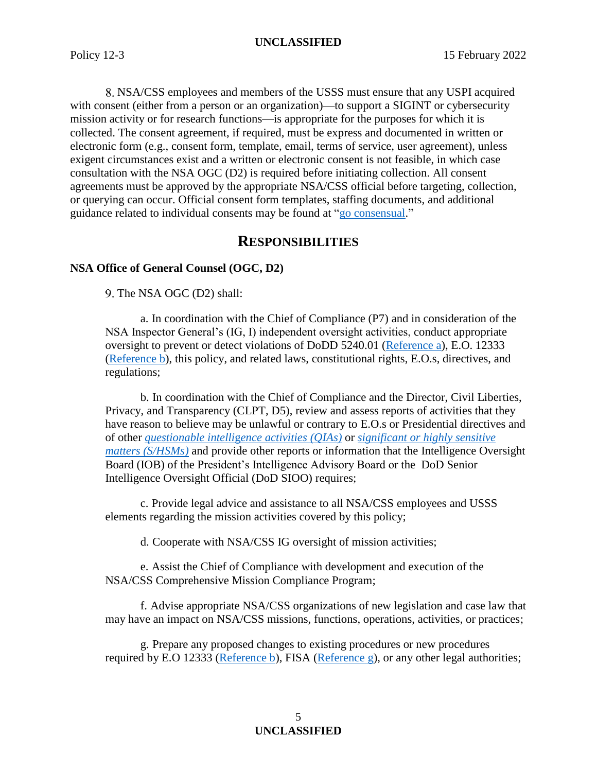NSA/CSS employees and members of the USSS must ensure that any USPI acquired with consent (either from a person or an organization)—to support a SIGINT or cybersecurity mission activity or for research functions—is appropriate for the purposes for which it is collected. The consent agreement, if required, must be express and documented in written or electronic form (e.g., consent form, template, email, terms of service, user agreement), unless exigent circumstances exist and a written or electronic consent is not feasible, in which case consultation with the NSA OGC (D2) is required before initiating collection. All consent agreements must be approved by the appropriate NSA/CSS official before targeting, collection, or querying can occur. Official consent form templates, staffing documents, and additional guidance related to individual consents may be found at ["go consensual.](https://siteworks.web.nsa.ic.gov/iia/consensual-collection/)"

## **RESPONSIBILITIES**

## **NSA Office of General Counsel (OGC, D2)**

9. The NSA OGC (D2) shall:

a. In coordination with the Chief of Compliance (P7) and in consideration of the NSA Inspector General's (IG, I) independent oversight activities, conduct appropriate oversight to prevent or detect violations of DoDD 5240.01 [\(Reference a\)](#page-7-0), E.O. 12333 [\(Reference](#page-7-1) b), this policy, and related laws, constitutional rights, E.O.s, directives, and regulations;

b. In coordination with the Chief of Compliance and the Director, Civil Liberties, Privacy, and Transparency (CLPT, D5), review and assess reports of activities that they have reason to believe may be unlawful or contrary to E.O.s or Presidential directives and of other *[questionable intelli](#page-11-5)*g*ence activities (QIAs)* or *[significant or highly sensitive](#page-11-6)  matters [\(S/HSMs\)](#page-11-6)* and provide other reports or information that the Intelligence Oversight Board (IOB) of the President's Intelligence Advisory Board or the DoD Senior Intelligence Oversight Official (DoD SIOO) requires;

c. Provide legal advice and assistance to all NSA/CSS employees and USSS elements regarding the mission activities covered by this policy;

d. Cooperate with NSA/CSS IG oversight of mission activities;

e. Assist the Chief of Compliance with development and execution of the NSA/CSS Comprehensive Mission Compliance Program;

f. Advise appropriate NSA/CSS organizations of new legislation and case law that may have an impact on NSA/CSS missions, functions, operations, activities, or practices;

g. Prepare any proposed changes to existing procedures or new procedures required by E.O 12333 [\(Reference b\)](#page-7-1), FISA [\(Reference g\)](#page-8-4), or any other legal authorities;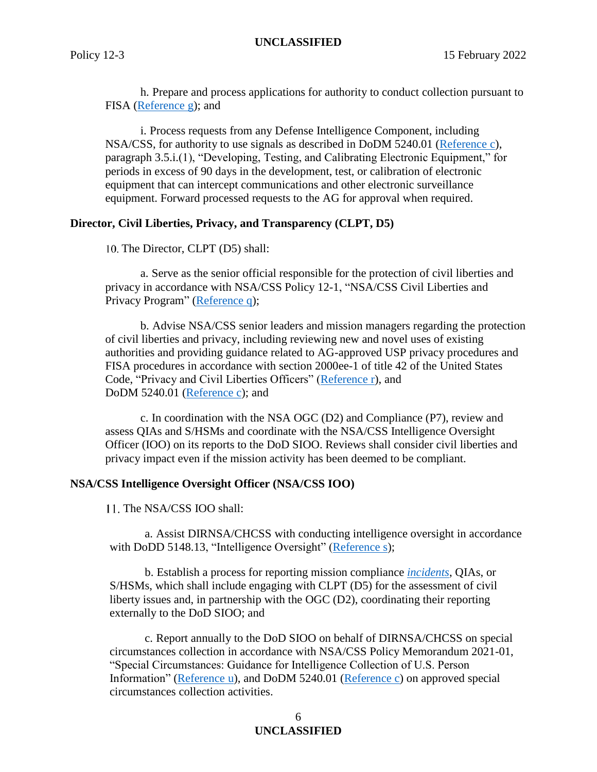h. Prepare and process applications for authority to conduct collection pursuant to FISA [\(Reference g\)](#page-8-4); and

i. Process requests from any Defense Intelligence Component, including NSA/CSS, for authority to use signals as described in DoDM 5240.01 [\(Reference c\)](#page-8-0), paragraph 3.5.i.(1), "Developing, Testing, and Calibrating Electronic Equipment," for periods in excess of 90 days in the development, test, or calibration of electronic equipment that can intercept communications and other electronic surveillance equipment. Forward processed requests to the AG for approval when required.

### **Director, Civil Liberties, Privacy, and Transparency (CLPT, D5)**

10. The Director, CLPT (D5) shall:

a. Serve as the senior official responsible for the protection of civil liberties and privacy in accordance with NSA/CSS Policy 12-1, "NSA/CSS Civil Liberties and Privacy Program" [\(Reference q\)](#page-8-14);

b. Advise NSA/CSS senior leaders and mission managers regarding the protection of civil liberties and privacy, including reviewing new and novel uses of existing authorities and providing guidance related to AG-approved USP privacy procedures and FISA procedures in accordance with section 2000ee-1 of title 42 of the United States Code, "Privacy and Civil Liberties Officers" [\(Reference r\)](#page-8-15), and DoDM 5240.01 [\(Reference c\)](#page-8-0); and

c. In coordination with the NSA OGC (D2) and Compliance (P7), review and assess QIAs and S/HSMs and coordinate with the NSA/CSS Intelligence Oversight Officer (IOO) on its reports to the DoD SIOO. Reviews shall consider civil liberties and privacy impact even if the mission activity has been deemed to be compliant.

#### **NSA/CSS Intelligence Oversight Officer (NSA/CSS IOO)**

11. The NSA/CSS IOO shall:

a. Assist DIRNSA/CHCSS with conducting intelligence oversight in accordance with DoDD 5148.13, "Intelligence Oversight" [\(Reference s\)](#page-8-16);

b. Establish a process for reporting mission compliance *[incidents](#page-10-6)*, QIAs, or S/HSMs, which shall include engaging with CLPT (D5) for the assessment of civil liberty issues and, in partnership with the OGC (D2), coordinating their reporting externally to the DoD SIOO; and

c. Report annually to the DoD SIOO on behalf of DIRNSA/CHCSS on special circumstances collection in accordance with NSA/CSS Policy Memorandum 2021-01, "Special Circumstances: Guidance for Intelligence Collection of U.S. Person Information" [\(Reference u\)](#page-9-4), and DoDM 5240.01 [\(Reference c\)](#page-8-0) on approved special circumstances collection activities.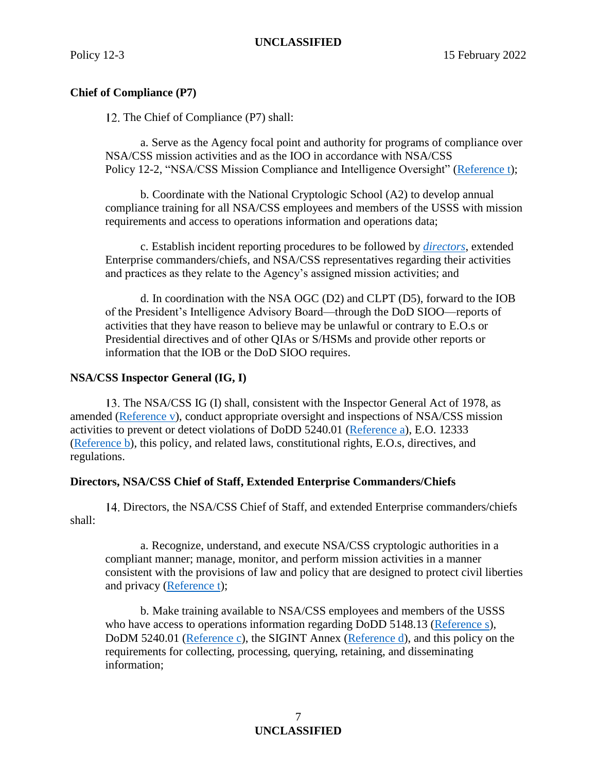## **Chief of Compliance (P7)**

12. The Chief of Compliance (P7) shall:

a. Serve as the Agency focal point and authority for programs of compliance over NSA/CSS mission activities and as the IOO in accordance with NSA/CSS Policy 12-2, "NSA/CSS Mission Compliance and Intelligence Oversight" [\(Reference t\)](#page-9-5);

b. Coordinate with the National Cryptologic School (A2) to develop annual compliance training for all NSA/CSS employees and members of the USSS with mission requirements and access to operations information and operations data;

c. Establish incident reporting procedures to be followed by *[directors](#page-10-7)*, extended Enterprise commanders/chiefs, and NSA/CSS representatives regarding their activities and practices as they relate to the Agency's assigned mission activities; and

d. In coordination with the NSA OGC (D2) and CLPT (D5), forward to the IOB of the President's Intelligence Advisory Board—through the DoD SIOO—reports of activities that they have reason to believe may be unlawful or contrary to E.O.s or Presidential directives and of other QIAs or S/HSMs and provide other reports or information that the IOB or the DoD SIOO requires.

### **NSA/CSS Inspector General (IG, I)**

13. The NSA/CSS IG (I) shall, consistent with the Inspector General Act of 1978, as amended [\(Reference v\)](#page-9-6), conduct appropriate oversight and inspections of NSA/CSS mission activities to prevent or detect violations of DoDD 5240.01 [\(Reference a\)](#page-7-0), E.O. 12333 [\(Reference b\)](#page-7-1), this policy, and related laws, constitutional rights, E.O.s, directives, and regulations.

#### **Directors, NSA/CSS Chief of Staff, Extended Enterprise Commanders/Chiefs**

14. Directors, the NSA/CSS Chief of Staff, and extended Enterprise commanders/chiefs shall:

a. Recognize, understand, and execute NSA/CSS cryptologic authorities in a compliant manner; manage, monitor, and perform mission activities in a manner consistent with the provisions of law and policy that are designed to protect civil liberties and privacy [\(Reference t\)](#page-9-5);

b. Make training available to NSA/CSS employees and members of the USSS who have access to operations information regarding DoDD 5148.13 [\(Reference s\)](#page-8-16), DoDM 5240.01 [\(Reference c\)](#page-8-0), the SIGINT Annex [\(Reference d\)](#page-8-1), and this policy on the requirements for collecting, processing, querying, retaining, and disseminating information;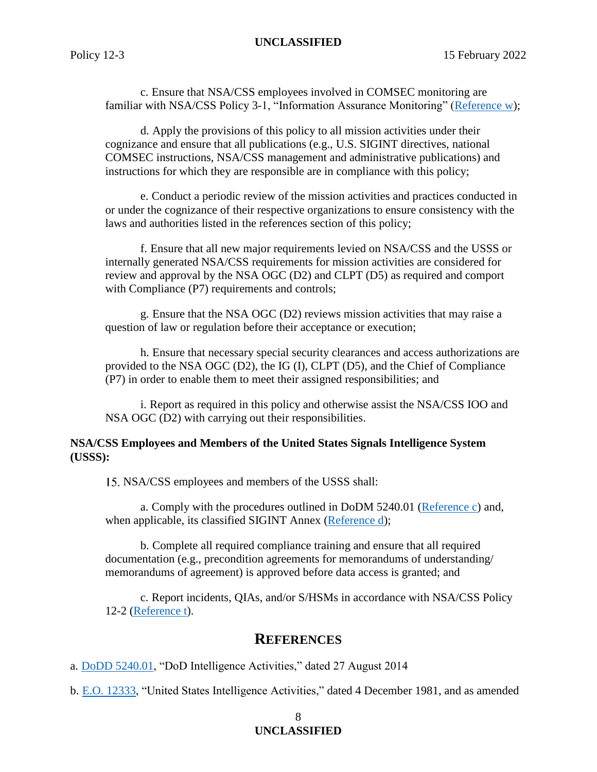c. Ensure that NSA/CSS employees involved in COMSEC monitoring are familiar with NSA/CSS Policy 3-1, "Information Assurance Monitoring" [\(Reference w\)](#page-9-7);

d. Apply the provisions of this policy to all mission activities under their cognizance and ensure that all publications (e.g., U.S. SIGINT directives, national COMSEC instructions, NSA/CSS management and administrative publications) and instructions for which they are responsible are in compliance with this policy;

e. Conduct a periodic review of the mission activities and practices conducted in or under the cognizance of their respective organizations to ensure consistency with the laws and authorities listed in the references section of this policy;

f. Ensure that all new major requirements levied on NSA/CSS and the USSS or internally generated NSA/CSS requirements for mission activities are considered for review and approval by the NSA OGC (D2) and CLPT (D5) as required and comport with Compliance (P7) requirements and controls;

g. Ensure that the NSA OGC (D2) reviews mission activities that may raise a question of law or regulation before their acceptance or execution;

h. Ensure that necessary special security clearances and access authorizations are provided to the NSA OGC (D2), the IG (I), CLPT (D5), and the Chief of Compliance (P7) in order to enable them to meet their assigned responsibilities; and

i. Report as required in this policy and otherwise assist the NSA/CSS IOO and NSA OGC (D2) with carrying out their responsibilities.

### **NSA/CSS Employees and Members of the United States Signals Intelligence System (USSS):**

NSA/CSS employees and members of the USSS shall:

a. Comply with the procedures outlined in DoDM 5240.01 [\(Reference c\)](#page-8-0) and, when applicable, its classified SIGINT Annex [\(Reference d\)](#page-8-1);

b. Complete all required compliance training and ensure that all required documentation (e.g., precondition agreements for memorandums of understanding/ memorandums of agreement) is approved before data access is granted; and

c. Report incidents, QIAs, and/or S/HSMs in accordance with NSA/CSS Policy 12-2 [\(Reference t\)](#page-9-5).

## **REFERENCES**

<span id="page-7-0"></span>a. [DoDD 5240.01,](https://policy.sp.web.nsa.ic.gov/PolicyDepot/DoDD%205240.01%2020140827.pdf) "DoD Intelligence Activities," dated 27 August 2014

<span id="page-7-1"></span>b. E.O. [12333,](https://policy.sp.web.nsa.ic.gov/PolicyDepot/EO%2012333%2020080730.pdf) "United States Intelligence Activities," dated 4 December 1981, and as amended

#### 8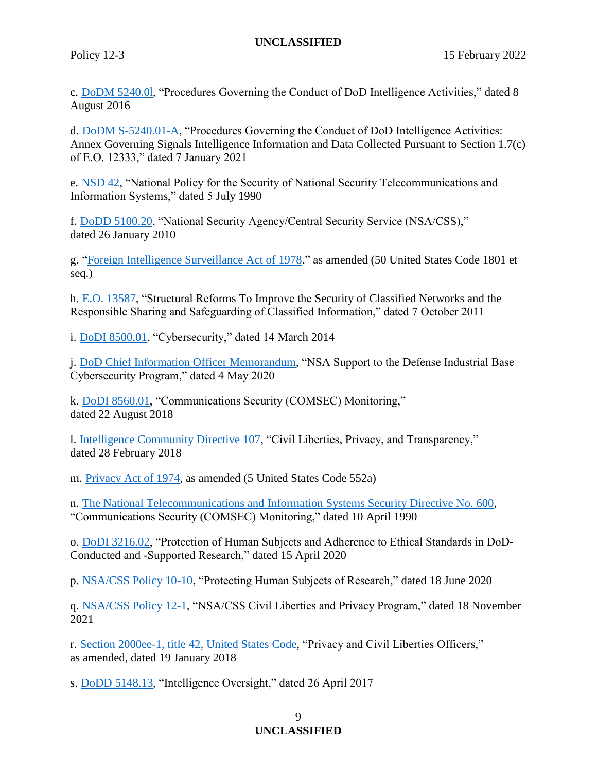<span id="page-8-0"></span>c. [DoDM 5240.0l,](https://policy.sp.web.nsa.ic.gov/PolicyDepot/DoDM%205240.01%2020160808.pdf) "Procedures Governing the Conduct of DoD Intelligence Activities," dated 8 August 2016

<span id="page-8-1"></span>d. [DoDM S-5240.01-A,](https://policy.sp.web.nsa.ic.gov/PolicyDepot/DoDM%20S-5240.01-A%2020210107.pdf) "Procedures Governing the Conduct of DoD Intelligence Activities: Annex Governing Signals Intelligence Information and Data Collected Pursuant to Section 1.7(c) of E.O. 12333," dated 7 January 2021

<span id="page-8-2"></span>e. [NSD 42,](https://policy.sp.web.nsa.ic.gov/PolicyDepot/NSD%2042%2019900705.pdf) "National Policy for the Security of National Security Telecommunications and Information Systems," dated 5 July 1990

<span id="page-8-3"></span>f. [DoDD 5100.20,](https://policy.sp.web.nsa.ic.gov/PolicyDepot/DoDD%205100.20%2020100126.pdf) "National Security Agency/Central Security Service (NSA/CSS)," dated 26 January 2010

<span id="page-8-4"></span>g. ["Foreign Intelligence Surveillance Act of 1978,](https://policy.sp.web.nsa.ic.gov/PolicyDepot/PL%2095-511%2019781025.pdf)" as amended (50 United States Code 1801 et seq.)

<span id="page-8-5"></span>h. E.O. [13587,](https://policy.sp.web.nsa.ic.gov/PolicyDepot/EO%2013587%2020111007.pdf) "Structural Reforms To Improve the Security of Classified Networks and the Responsible Sharing and Safeguarding of Classified Information," dated 7 October 2011

<span id="page-8-6"></span>i. [DoDI 8500.01,](https://policy.sp.web.nsa.ic.gov/PolicyDepot/DoDI%208500.01%2020191007.pdf) "Cybersecurity," dated 14 March 2014

<span id="page-8-7"></span>j. [DoD Chief Information Officer Memorandum,](https://policy.sp.web.nsa.ic.gov/PolicyDepot/DoD%20Chief%20Information%20Officer%20Memorandum.pdf) "NSA Support to the Defense Industrial Base Cybersecurity Program," dated 4 May 2020

<span id="page-8-8"></span>k. [DoDI 8560.01,](https://policy.sp.web.nsa.ic.gov/PolicyDepot/DoDI%208560.01%2020180822.pdf) "Communications Security (COMSEC) Monitoring," dated 22 August 2018

<span id="page-8-9"></span>l. [Intelligence Community Directive 107,](https://policy.sp.web.nsa.ic.gov/PolicyDepot/ICD%20107%2020180228.pdf) "Civil Liberties, Privacy, and Transparency," dated 28 February 2018

<span id="page-8-10"></span>m. [Privacy Act of 1974,](https://policy.sp.web.nsa.ic.gov/PolicyDepot/PL%2093-579%2019740101.pdf) as amended (5 United States Code 552a)

<span id="page-8-11"></span>n. [The National Telecommunications and Information Systems Security Directive No. 600,](https://policy.sp.web.nsa.ic.gov/PolicyDepot/NSTISSD%20600%2019900410.pdf) "Communications Security (COMSEC) Monitoring," dated 10 April 1990

<span id="page-8-12"></span>o. [DoDI 3216.02,](https://policy.sp.web.nsa.ic.gov/PolicyDepot/DoDI%203216.02%2020200415.pdf) "Protection of Human Subjects and Adherence to Ethical Standards in DoD-Conducted and -Supported Research," dated 15 April 2020

<span id="page-8-13"></span>p. [NSA/CSS Policy 10-10,](https://urn.nsa.ic.gov/policy10-10) "Protecting Human Subjects of Research," dated 18 June 2020

<span id="page-8-14"></span>q. [NSA/CSS Policy 12-1,](https://urn.nsa.ic.gov/policy12-1) "NSA/CSS Civil Liberties and Privacy Program," dated 18 November 2021

<span id="page-8-15"></span>r. [Section 2000ee-1, title 42,](https://policy.sp.web.nsa.ic.gov/PolicyDepot/USC%2042%20section%202000ee%2020180119.pdf) United States Code, "Privacy and Civil Liberties Officers," as amended, dated 19 January 2018

<span id="page-8-16"></span>s. [DoDD 5148.13,](https://policy.sp.web.nsa.ic.gov/PolicyDepot/DoDD%205148.13%2020170426.pdf) "Intelligence Oversight," dated 26 April 2017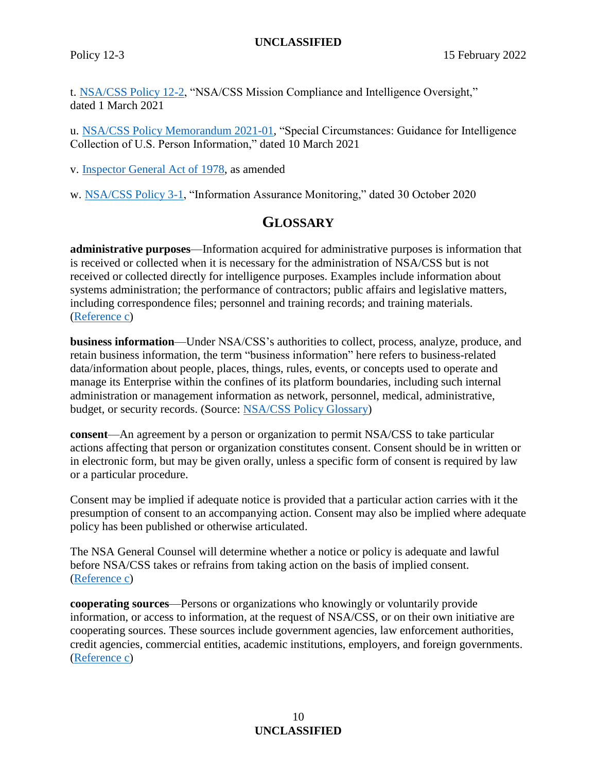<span id="page-9-5"></span>t. [NSA/CSS Policy 12-2,](https://urn.nsa.ic.gov/policy12-2) "NSA/CSS Mission Compliance and Intelligence Oversight," dated 1 March 2021

<span id="page-9-4"></span>u. [NSA/CSS Policy Memorandum 2021-01,](https://urn.nsa.ic.gov/pmemo2021-01) "Special Circumstances: Guidance for Intelligence Collection of U.S. Person Information," dated 10 March 2021

<span id="page-9-6"></span>v. [Inspector General Act of 1978,](https://policy.sp.web.nsa.ic.gov/PolicyDepot/PL%2095-452%2020161216.pdf) as amended

<span id="page-9-7"></span>w. [NSA/CSS Policy 3-1,](https://urn.nsa.ic.gov/policy3-1) "Information Assurance Monitoring," dated 30 October 2020

# **GLOSSARY**

<span id="page-9-3"></span>**administrative purposes**—Information acquired for administrative purposes is information that is received or collected when it is necessary for the administration of NSA/CSS but is not received or collected directly for intelligence purposes. Examples include information about systems administration; the performance of contractors; public affairs and legislative matters, including correspondence files; personnel and training records; and training materials. [\(Reference c\)](#page-8-0)

<span id="page-9-2"></span>**business information**—Under NSA/CSS's authorities to collect, process, analyze, produce, and retain business information, the term "business information" here refers to business-related data/information about people, places, things, rules, events, or concepts used to operate and manage its Enterprise within the confines of its platform boundaries, including such internal administration or management information as network, personnel, medical, administrative, budget, or security records. (Source: [NSA/CSS Policy](https://siteworks.web.nsa.ic.gov/p12/b/#businessinformation) Glossary)

<span id="page-9-1"></span>**consent**—An agreement by a person or organization to permit NSA/CSS to take particular actions affecting that person or organization constitutes consent. Consent should be in written or in electronic form, but may be given orally, unless a specific form of consent is required by law or a particular procedure.

Consent may be implied if adequate notice is provided that a particular action carries with it the presumption of consent to an accompanying action. Consent may also be implied where adequate policy has been published or otherwise articulated.

The NSA General Counsel will determine whether a notice or policy is adequate and lawful before NSA/CSS takes or refrains from taking action on the basis of implied consent. [\(Reference c\)](#page-8-0)

<span id="page-9-0"></span>**cooperating sources**—Persons or organizations who knowingly or voluntarily provide information, or access to information, at the request of NSA/CSS, or on their own initiative are cooperating sources. These sources include government agencies, law enforcement authorities, credit agencies, commercial entities, academic institutions, employers, and foreign governments. [\(Reference c\)](#page-8-0)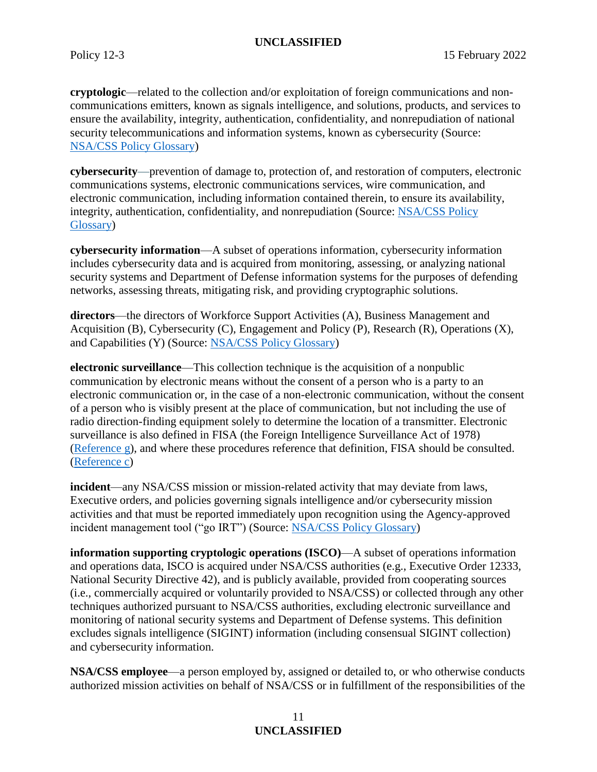<span id="page-10-2"></span>**cryptologic**—related to the collection and/or exploitation of foreign communications and noncommunications emitters, known as signals intelligence, and solutions, products, and services to ensure the availability, integrity, authentication, confidentiality, and nonrepudiation of national security telecommunications and information systems, known as cybersecurity (Source: [NSA/CSS Policy Glossary\)](https://siteworks.web.nsa.ic.gov/p12/c/#Cryptologic)

<span id="page-10-1"></span>**cybersecurity**—prevention of damage to, protection of, and restoration of computers, electronic communications systems, electronic communications services, wire communication, and electronic communication, including information contained therein, to ensure its availability, integrity, authentication, confidentiality, and nonrepudiation (Source: [NSA/CSS Policy](https://siteworks.web.nsa.ic.gov/p12/c/#Cybersecurity6-3)  [Glossary\)](https://siteworks.web.nsa.ic.gov/p12/c/#Cybersecurity6-3)

<span id="page-10-3"></span>**cybersecurity information**—A subset of operations information, cybersecurity information includes cybersecurity data and is acquired from monitoring, assessing, or analyzing national security systems and Department of Defense information systems for the purposes of defending networks, assessing threats, mitigating risk, and providing cryptographic solutions.

<span id="page-10-7"></span>**[directors](https://siteworks.web.nsa.ic.gov/p12/d/#Directors)**—the directors of Workforce Support Activities (A), Business Management and Acquisition (B), Cybersecurity (C), Engagement and Policy (P), Research (R), Operations (X), and Capabilities (Y) (Source: [NSA/CSS Policy Glossary\)](https://siteworks.web.nsa.ic.gov/p12/d/#Directors)

<span id="page-10-4"></span>**electronic surveillance**—This collection technique is the acquisition of a nonpublic communication by electronic means without the consent of a person who is a party to an electronic communication or, in the case of a non-electronic communication, without the consent of a person who is visibly present at the place of communication, but not including the use of radio direction-finding equipment solely to determine the location of a transmitter. Electronic surveillance is also defined in FISA (the Foreign Intelligence Surveillance Act of 1978) [\(Reference g\)](#page-8-4), and where these procedures reference that definition, FISA should be consulted. [\(Reference c\)](#page-8-0)

<span id="page-10-6"></span>**incident**—any NSA/CSS mission or mission-related activity that may deviate from laws, Executive orders, and policies governing signals intelligence and/or cybersecurity mission activities and that must be reported immediately upon recognition using the Agency-approved incident management tool ("go IRT") (Source: [NSA/CSS Policy Glossary\)](https://siteworks.web.nsa.ic.gov/p12/i/#Incident12-2)

<span id="page-10-5"></span>**information supporting cryptologic operations (ISCO)**—A subset of operations information and operations data, ISCO is acquired under NSA/CSS authorities (e.g., Executive Order 12333, National Security Directive 42), and is publicly available, provided from cooperating sources (i.e., commercially acquired or voluntarily provided to NSA/CSS) or collected through any other techniques authorized pursuant to NSA/CSS authorities, excluding electronic surveillance and monitoring of national security systems and Department of Defense systems. This definition excludes signals intelligence (SIGINT) information (including consensual SIGINT collection) and cybersecurity information.

<span id="page-10-0"></span>**NSA/CSS employee**—a person employed by, assigned or detailed to, or who otherwise conducts authorized mission activities on behalf of NSA/CSS or in fulfillment of the responsibilities of the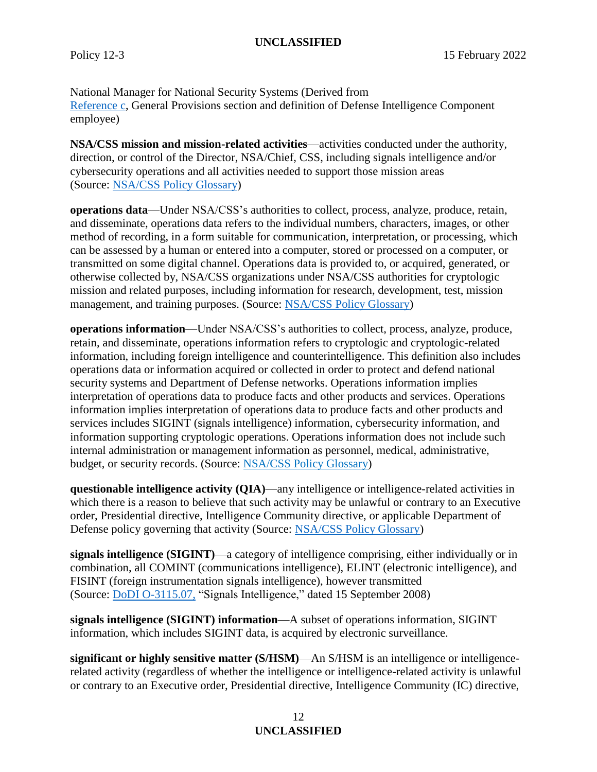National Manager for National Security Systems (Derived from [Reference c,](#page-8-0) General Provisions section and definition of Defense Intelligence Component employee)

<span id="page-11-0"></span>**NSA/CSS mission and mission-related activities**—activities conducted under the authority, direction, or control of the Director, NSA/Chief, CSS, including signals intelligence and/or cybersecurity operations and all activities needed to support those mission areas (Source: [NSA/CSS Policy Glossary\)](https://siteworks.web.nsa.ic.gov/p12/n/#NSACSS_Mission_Related_Activities)

<span id="page-11-4"></span>**[operations data](https://siteworks.web.nsa.ic.gov/p12/o/#operationsdata)**—Under NSA/CSS's authorities to collect, process, analyze, produce, retain, and disseminate, operations data refers to the individual numbers, characters, images, or other method of recording, in a form suitable for communication, interpretation, or processing, which can be assessed by a human or entered into a computer, stored or processed on a computer, or transmitted on some digital channel. Operations data is provided to, or acquired, generated, or otherwise collected by, NSA/CSS organizations under NSA/CSS authorities for cryptologic mission and related purposes, including information for research, development, test, mission management, and training purposes. (Source: [NSA/CSS Policy Glossary\)](https://siteworks.web.nsa.ic.gov/p12/o/#operationsdata)

<span id="page-11-3"></span>**[operations information](https://siteworks.web.nsa.ic.gov/p12/o/#OperationsInformation)**—Under NSA/CSS's authorities to collect, process, analyze, produce, retain, and disseminate, operations information refers to cryptologic and cryptologic-related information, including foreign intelligence and counterintelligence. This definition also includes operations data or information acquired or collected in order to protect and defend national security systems and Department of Defense networks. Operations information implies interpretation of operations data to produce facts and other products and services. Operations information implies interpretation of operations data to produce facts and other products and services includes SIGINT (signals intelligence) information, cybersecurity information, and information supporting cryptologic operations. Operations information does not include such internal administration or management information as personnel, medical, administrative, budget, or security records. (Source: [NSA/CSS Policy Glossary\)](https://siteworks.web.nsa.ic.gov/p12/o/#OperationsInformation)

<span id="page-11-5"></span>**[questionable intelligence activity](https://siteworks.web.nsa.ic.gov/p12/q/#QuestionableIntelligenceActivity) (QIA)**—any intelligence or intelligence-related activities in which there is a reason to believe that such activity may be unlawful or contrary to an Executive order, Presidential directive, Intelligence Community directive, or applicable Department of Defense policy governing that activity (Source: [NSA/CSS Policy Glossary\)](https://siteworks.web.nsa.ic.gov/p12/q/#QuestionableIntelligenceActivity)

<span id="page-11-1"></span>**signals intelligence (SIGINT)**—a category of intelligence comprising, either individually or in combination, all COMINT (communications intelligence), ELINT (electronic intelligence), and FISINT (foreign instrumentation signals intelligence), however transmitted (Source: [DoDI O-3115.07,](https://policy.sp.web.nsa.ic.gov/PolicyDepot/DoDI_O-3115.07p_Ch2_20200825.pdf) "Signals Intelligence," dated 15 September 2008)

<span id="page-11-2"></span>**signals intelligence (SIGINT) information**—A subset of operations information, SIGINT information, which includes SIGINT data, is acquired by electronic surveillance.

<span id="page-11-6"></span>**significant or highly sensitive matter (S/HSM)**—An S/HSM is an intelligence or intelligencerelated activity (regardless of whether the intelligence or intelligence-related activity is unlawful or contrary to an Executive order, Presidential directive, Intelligence Community (IC) directive,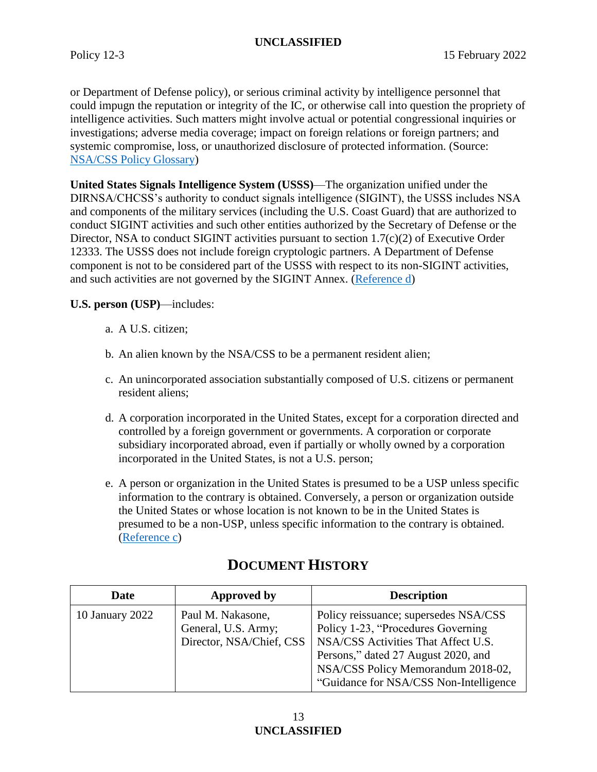or Department of Defense policy), or serious criminal activity by intelligence personnel that could impugn the reputation or integrity of the IC, or otherwise call into question the propriety of intelligence activities. Such matters might involve actual or potential congressional inquiries or investigations; adverse media coverage; impact on foreign relations or foreign partners; and systemic compromise, loss, or unauthorized disclosure of protected information. (Source: [NSA/CSS Policy Glossary\)](https://siteworks.web.nsa.ic.gov/p12/s/#SignificantOrHighlySensitiveMatter(S/HSM))

<span id="page-12-2"></span>**United States Signals Intelligence System (USSS)**—The organization unified under the DIRNSA/CHCSS's authority to conduct signals intelligence (SIGINT), the USSS includes NSA and components of the military services (including the U.S. Coast Guard) that are authorized to conduct SIGINT activities and such other entities authorized by the Secretary of Defense or the Director, NSA to conduct SIGINT activities pursuant to section 1.7(c)(2) of Executive Order 12333. The USSS does not include foreign cryptologic partners. A Department of Defense component is not to be considered part of the USSS with respect to its non-SIGINT activities, and such activities are not governed by the SIGINT Annex. [\(Reference d\)](#page-8-1)

<span id="page-12-1"></span>**U.S. person (USP)**—includes:

- a. A U.S. citizen;
- b. An alien known by the NSA/CSS to be a permanent resident alien;
- c. An unincorporated association substantially composed of U.S. citizens or permanent resident aliens;
- d. A corporation incorporated in the United States, except for a corporation directed and controlled by a foreign government or governments. A corporation or corporate subsidiary incorporated abroad, even if partially or wholly owned by a corporation incorporated in the United States, is not a U.S. person;
- e. A person or organization in the United States is presumed to be a USP unless specific information to the contrary is obtained. Conversely, a person or organization outside the United States or whose location is not known to be in the United States is presumed to be a non-USP, unless specific information to the contrary is obtained. [\(Reference c\)](#page-8-0)

<span id="page-12-0"></span>

| Date            | Approved by                                                          | <b>Description</b>                                                                                                                                                                                                                         |
|-----------------|----------------------------------------------------------------------|--------------------------------------------------------------------------------------------------------------------------------------------------------------------------------------------------------------------------------------------|
| 10 January 2022 | Paul M. Nakasone,<br>General, U.S. Army;<br>Director, NSA/Chief, CSS | Policy reissuance; supersedes NSA/CSS<br>Policy 1-23, "Procedures Governing<br>NSA/CSS Activities That Affect U.S.<br>Persons," dated 27 August 2020, and<br>NSA/CSS Policy Memorandum 2018-02,<br>"Guidance for NSA/CSS Non-Intelligence" |

# **DOCUMENT HISTORY**